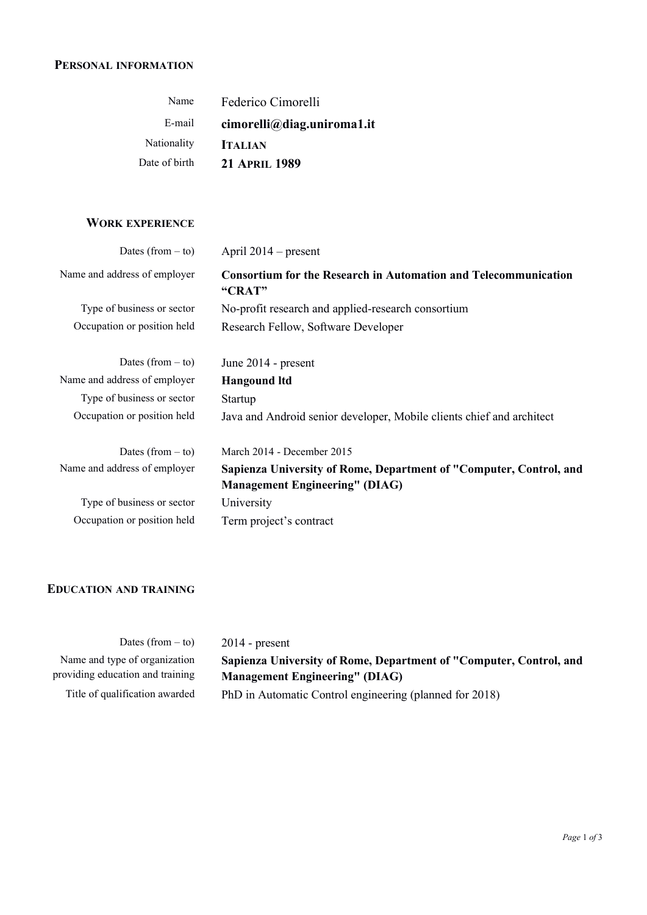#### **PERSONAL INFORMATION**

| Name          | Federico Cimorelli         |
|---------------|----------------------------|
| E-mail        | cimorelli@diag.uniroma1.it |
| Nationality   | <b>ITALIAN</b>             |
| Date of birth | <b>21 APRIL 1989</b>       |

# **WORK EXPERIENCE**

| Dates (from $-$ to)          | April $2014$ – present                                                           |
|------------------------------|----------------------------------------------------------------------------------|
| Name and address of employer | <b>Consortium for the Research in Automation and Telecommunication</b><br>"CRAT" |
| Type of business or sector   | No-profit research and applied-research consortium                               |
| Occupation or position held  | Research Fellow, Software Developer                                              |
|                              |                                                                                  |
| Dates (from $-$ to)          | June 2014 - present                                                              |
| Name and address of employer | <b>Hangound ltd</b>                                                              |
| Type of business or sector   | <b>Startup</b>                                                                   |
| Occupation or position held  | Java and Android senior developer, Mobile clients chief and architect            |
|                              |                                                                                  |
| Dates (from $-$ to)          | March 2014 - December 2015                                                       |
| Name and address of employer | Sapienza University of Rome, Department of "Computer, Control, and               |
|                              | <b>Management Engineering" (DIAG)</b>                                            |
| Type of business or sector   | University                                                                       |
| Occupation or position held  | Term project's contract                                                          |

## **EDUCATION AND TRAINING**

| Dates (from $-$ to)              | $2014$ - present                                                   |
|----------------------------------|--------------------------------------------------------------------|
|                                  |                                                                    |
| Name and type of organization    | Sapienza University of Rome, Department of "Computer, Control, and |
| providing education and training | <b>Management Engineering" (DIAG)</b>                              |
| Title of qualification awarded   | PhD in Automatic Control engineering (planned for 2018)            |
|                                  |                                                                    |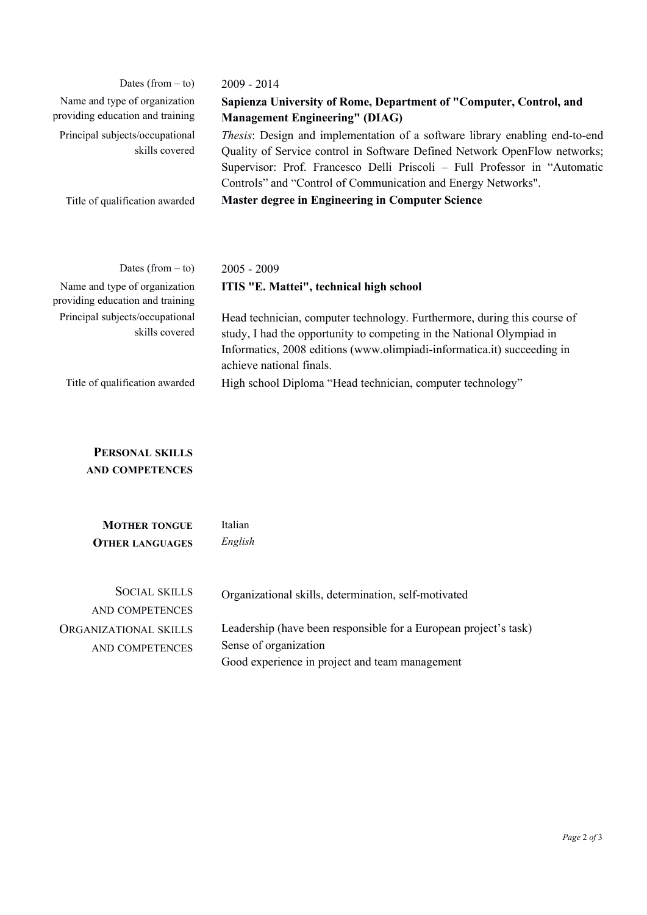| Dates (from $-$ to)                                               | $2009 - 2014$                                                                                                                                                                                                                                                                                          |
|-------------------------------------------------------------------|--------------------------------------------------------------------------------------------------------------------------------------------------------------------------------------------------------------------------------------------------------------------------------------------------------|
| Name and type of organization<br>providing education and training | Sapienza University of Rome, Department of "Computer, Control, and<br><b>Management Engineering" (DIAG)</b>                                                                                                                                                                                            |
| Principal subjects/occupational<br>skills covered                 | Thesis: Design and implementation of a software library enabling end-to-end<br>Quality of Service control in Software Defined Network OpenFlow networks;<br>Supervisor: Prof. Francesco Delli Priscoli - Full Professor in "Automatic<br>Controls" and "Control of Communication and Energy Networks". |
| Title of qualification awarded                                    | Master degree in Engineering in Computer Science                                                                                                                                                                                                                                                       |
|                                                                   |                                                                                                                                                                                                                                                                                                        |

| Dates (from $-$ to)                                               | $2005 - 2009$                                                                                                                                                                                                                                            |
|-------------------------------------------------------------------|----------------------------------------------------------------------------------------------------------------------------------------------------------------------------------------------------------------------------------------------------------|
| Name and type of organization<br>providing education and training | ITIS "E. Mattei", technical high school                                                                                                                                                                                                                  |
| Principal subjects/occupational<br>skills covered                 | Head technician, computer technology. Furthermore, during this course of<br>study, I had the opportunity to competing in the National Olympiad in<br>Informatics, 2008 editions (www.olimpiadi-informatica.it) succeeding in<br>achieve national finals. |
| Title of qualification awarded                                    | High school Diploma "Head technician, computer technology"                                                                                                                                                                                               |

## **PERSONAL SKILLS AND COMPETENCES**

| <b>MOTHER TONGUE</b><br><b>OTHER LANGUAGES</b> | Italian<br>English                                                                                                                          |
|------------------------------------------------|---------------------------------------------------------------------------------------------------------------------------------------------|
| <b>SOCIAL SKILLS</b><br>AND COMPETENCES        | Organizational skills, determination, self-motivated                                                                                        |
| ORGANIZATIONAL SKILLS<br>AND COMPETENCES       | Leadership (have been responsible for a European project's task)<br>Sense of organization<br>Good experience in project and team management |